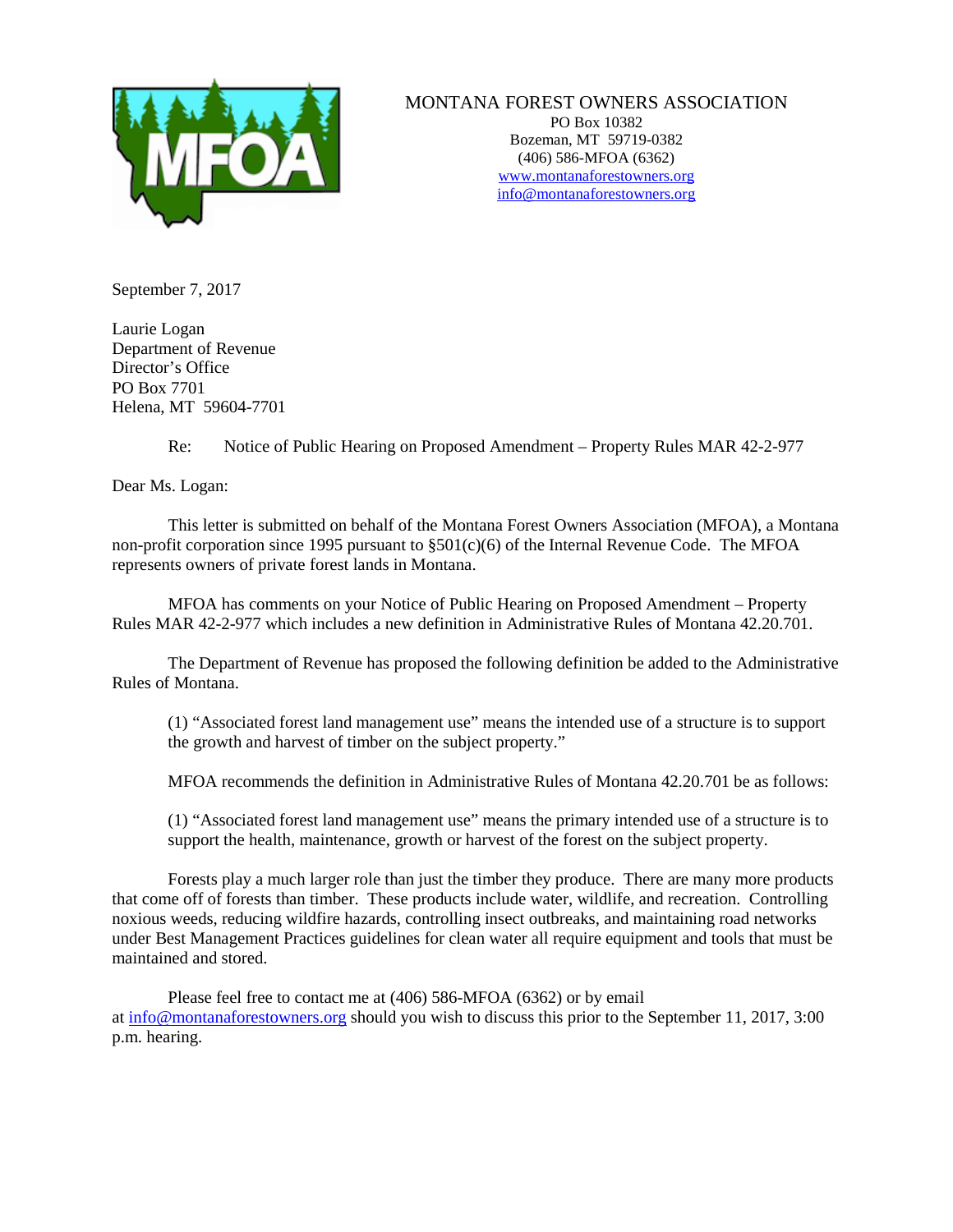

## MONTANA FOREST OWNERS ASSOCIATION

PO Box 10382 Bozeman, MT 59719-0382 (406) 586-MFOA (6362) [www.montanaforestowners.org](http://www.montanaforestowners.org/) [info@montanaforestowners.org](mailto:MFOA@mjchristianson.com)

September 7, 2017

Laurie Logan Department of Revenue Director's Office PO Box 7701 Helena, MT 59604-7701

Re: Notice of Public Hearing on Proposed Amendment – Property Rules MAR 42-2-977

Dear Ms. Logan:

This letter is submitted on behalf of the Montana Forest Owners Association (MFOA), a Montana non-profit corporation since 1995 pursuant to  $\S501(c)(6)$  of the Internal Revenue Code. The MFOA represents owners of private forest lands in Montana.

MFOA has comments on your Notice of Public Hearing on Proposed Amendment – Property Rules MAR 42-2-977 which includes a new definition in Administrative Rules of Montana 42.20.701.

The Department of Revenue has proposed the following definition be added to the Administrative Rules of Montana.

(1) "Associated forest land management use" means the intended use of a structure is to support the growth and harvest of timber on the subject property."

MFOA recommends the definition in Administrative Rules of Montana 42.20.701 be as follows:

(1) "Associated forest land management use" means the primary intended use of a structure is to support the health, maintenance, growth or harvest of the forest on the subject property.

Forests play a much larger role than just the timber they produce. There are many more products that come off of forests than timber. These products include water, wildlife, and recreation. Controlling noxious weeds, reducing wildfire hazards, controlling insect outbreaks, and maintaining road networks under Best Management Practices guidelines for clean water all require equipment and tools that must be maintained and stored.

Please feel free to contact me at (406) 586-MFOA (6362) or by email at [info@montanaforestowners.org](mailto:info@montanaforestowners.org) should you wish to discuss this prior to the September 11, 2017, 3:00 p.m. hearing.